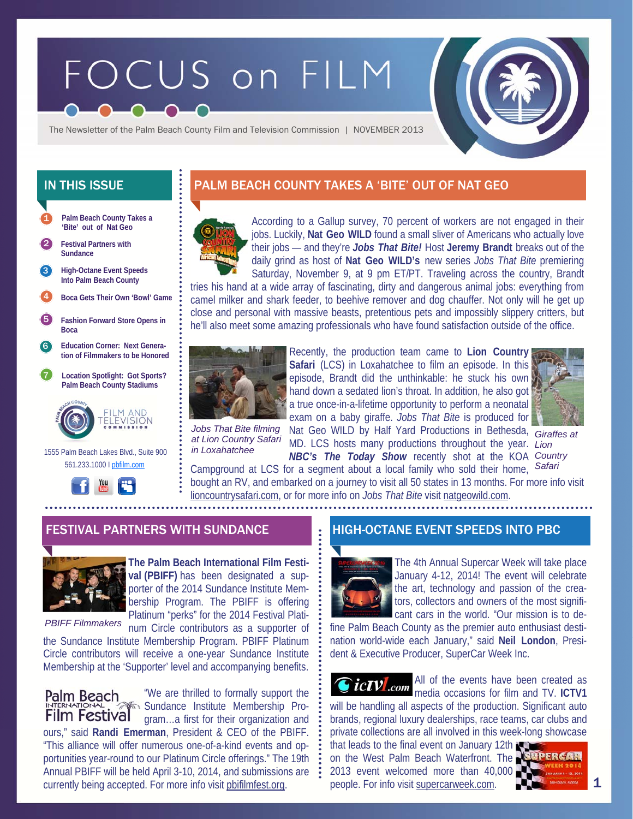# FOCUS on FILM

The Newsletter of the Palm Beach County Film and Television Commission | NOVEMBER 2013

- **Palm Beach County Takes a 'Bite' out of Nat Geo**  1
- 2 **Festival Partners with Sundance**
- **High-Octane Event Speeds Into Palm Beach County**  3
- 4 **Boca Gets Their Own 'Bowl' Game**
- 5 **Fashion Forward Store Opens in Boca**
- 6 **Education Corner: Next Generation of Filmmakers to be Honored**
- 7 **Location Spotlight: Got Sports? Palm Beach County Stadiums**



 1555 Palm Beach Lakes Blvd., Suite 900 561.233.1000 I pbfilm.com



# IN THIS ISSUE PALM BEACH COUNTY TAKES A 'BITE' OUT OF NAT GEO



According to a Gallup survey, 70 percent of workers are not engaged in their jobs. Luckily, **Nat Geo WILD** found a small sliver of Americans who actually love their jobs — and they're *Jobs That Bite!* Host **Jeremy Brandt** breaks out of the daily grind as host of **Nat Geo WILD's** new series *Jobs That Bite* premiering Saturday, November 9, at 9 pm ET/PT. Traveling across the country, Brandt

tries his hand at a wide array of fascinating, dirty and dangerous animal jobs: everything from camel milker and shark feeder, to beehive remover and dog chauffer. Not only will he get up close and personal with massive beasts, pretentious pets and impossibly slippery critters, but he'll also meet some amazing professionals who have found satisfaction outside of the office.



Recently, the production team came to **Lion Country Safari** (LCS) in Loxahatchee to film an episode. In this episode, Brandt did the unthinkable: he stuck his own hand down a sedated lion's throat. In addition, he also got a true once-in-a-lifetime opportunity to perform a neonatal exam on a baby giraffe. *Jobs That Bite* is produced for

*at Lion Country Safari in Loxahatchee* 

Jobs That Bite filming Nat Geo WILD by Half Yard Productions in Bethesda, MD. LCS hosts many productions throughout the year. *Lion NBC's The Today Show* recently shot at the KOA *Country* 



*Giraffes at Safari* 

Campground at LCS for a segment about a local family who sold their home, bought an RV, and embarked on a journey to visit all 50 states in 13 months. For more info visit lioncountrysafari.com, or for more info on *Jobs That Bite* visit natgeowild.com.

#### FESTIVAL PARTNERS WITH SUNDANCE HIGH-OCTANE EVENT SPEEDS INTO PBC



**The Palm Beach International Film Festival (PBIFF)** has been designated a supporter of the 2014 Sundance Institute Membership Program. The PBIFF is offering Platinum "perks" for the 2014 Festival Plati-

*PBIFF Filmmakers* 

num Circle contributors as a supporter of the Sundance Institute Membership Program. PBIFF Platinum Circle contributors will receive a one-year Sundance Institute Membership at the 'Supporter' level and accompanying benefits.

"We are thrilled to formally support the Palm Beach Sundance Institute Membership Pro-Film Festival gram…a first for their organization and ours," said **Randi Emerman**, President & CEO of the PBIFF. "This alliance will offer numerous one-of-a-kind events and opportunities year-round to our Platinum Circle offerings." The 19th Annual PBIFF will be held April 3-10, 2014, and submissions are currently being accepted. For more info visit pbifilmfest.org.



The 4th Annual Supercar Week will take place January 4-12, 2014! The event will celebrate the art, technology and passion of the creators, collectors and owners of the most significant cars in the world. "Our mission is to de-

fine Palm Beach County as the premier auto enthusiast destination world-wide each January," said **Neil London**, President & Executive Producer, SuperCar Week Inc.

All of the events have been created as *ictV com*  $\frac{AB}{2}$  media occasions for film and TV. ICTV1 will be handling all aspects of the production. Significant auto brands, regional luxury dealerships, race teams, car clubs and private collections are all involved in this week-long showcase that leads to the final event on January 12th

on the West Palm Beach Waterfront. The SUPERCAR 2013 event welcomed more than 40,000 people. For info visit supercarweek.com.



1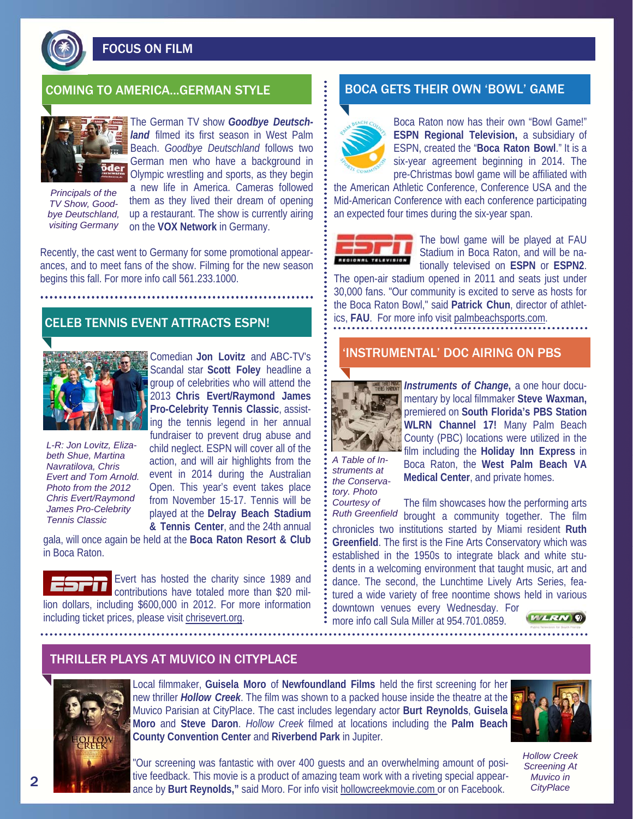

FOCUS ON FILM



The German TV show *Goodbye Deutschland* filmed its first season in West Palm Beach. *Goodbye Deutschland* follows two German men who have a background in Olympic wrestling and sports, as they begin

*Principals of the TV Show, Goodbye Deutschland, visiting Germany* 

a new life in America. Cameras followed them as they lived their dream of opening up a restaurant. The show is currently airing on the **VOX Network** in Germany.

Recently, the cast went to Germany for some promotional appearances, and to meet fans of the show. Filming for the new season begins this fall. For more info call 561.233.1000.

## CELEB TENNIS EVENT ATTRACTS ESPN!



*L-R: Jon Lovitz, Elizabeth Shue, Martina Navratilova, Chris Evert and Tom Arnold. Photo from the 2012 Chris Evert/Raymond James Pro-Celebrity Tennis Classic* 

Comedian **Jon Lovitz** and ABC-TV's Scandal star **Scott Foley** headline a group of celebrities who will attend the 2013 **Chris Evert/Raymond James Pro-Celebrity Tennis Classic**, assisting the tennis legend in her annual fundraiser to prevent drug abuse and child neglect. ESPN will cover all of the action, and will air highlights from the event in 2014 during the Australian Open. This year's event takes place from November 15-17. Tennis will be played at the **Delray Beach Stadium & Tennis Center**, and the 24th annual

gala, will once again be held at the **Boca Raton Resort & Club**  in Boca Raton.

Evert has hosted the charity since 1989 and contributions have totaled more than \$20 million dollars, including \$600,000 in 2012. For more information including ticket prices, please visit chrisevert.org.

# COMING TO AMERICA...GERMAN STYLE **BOCA GETS THEIR OWN 'BOWL' GAME**



Boca Raton now has their own "Bowl Game!" **ESPN Regional Television,** a subsidiary of ESPN, created the "**Boca Raton Bowl**." It is a six-year agreement beginning in 2014. The pre-Christmas bowl game will be affiliated with

the American Athletic Conference, Conference USA and the Mid-American Conference with each conference participating an expected four times during the six-year span.



The bowl game will be played at FAU Stadium in Boca Raton, and will be nationally televised on **ESPN** or **ESPN2**.

The open-air stadium opened in 2011 and seats just under 30,000 fans. "Our community is excited to serve as hosts for the Boca Raton Bowl," said **Patrick Chun**, director of athletics, **FAU**. For more info visit palmbeachsports.com.

### 'INSTRUMENTAL' DOC AIRING ON PBS



*Instruments of Change***,** a one hour documentary by local filmmaker **Steve Waxman,**  premiered on **South Florida's PBS Station WLRN Channel 17!** Many Palm Beach County (PBC) locations were utilized in the film including the **Holiday Inn Express** in

*A Table of Instruments at the Conservatory. Photo* 

Boca Raton, the **West Palm Beach VA Medical Center**, and private homes.

The film showcases how the performing arts brought a community together. The film chronicles two institutions started by Miami resident **Ruth Greenfield**. The first is the Fine Arts Conservatory which was established in the 1950s to integrate black and white students in a welcoming environment that taught music, art and dance. The second, the Lunchtime Lively Arts Series, featured a wide variety of free noontime shows held in various downtown venues every Wednesday. For *Courtesy of Ruth Greenfield* 

more info call Sula Miller at 954.701.0859.



## THRILLER PLAYS AT MUVICO IN CITYPLACE



Local filmmaker, **Guisela Moro** of **Newfoundland Films** held the first screening for her new thriller *Hollow Creek*. The film was shown to a packed house inside the theatre at the Muvico Parisian at CityPlace. The cast includes legendary actor **Burt Reynolds**, **Guisela Moro** and **Steve Daron**. *Hollow Creek* filmed at locations including the **Palm Beach County Convention Center** and **Riverbend Park** in Jupiter.



*Hollow Creek Screening At Muvico in CityPlace* 

"Our screening was fantastic with over 400 guests and an overwhelming amount of positive feedback. This movie is a product of amazing team work with a riveting special appearance by **Burt Reynolds,"** said Moro. For info visit hollowcreekmovie.com or on Facebook.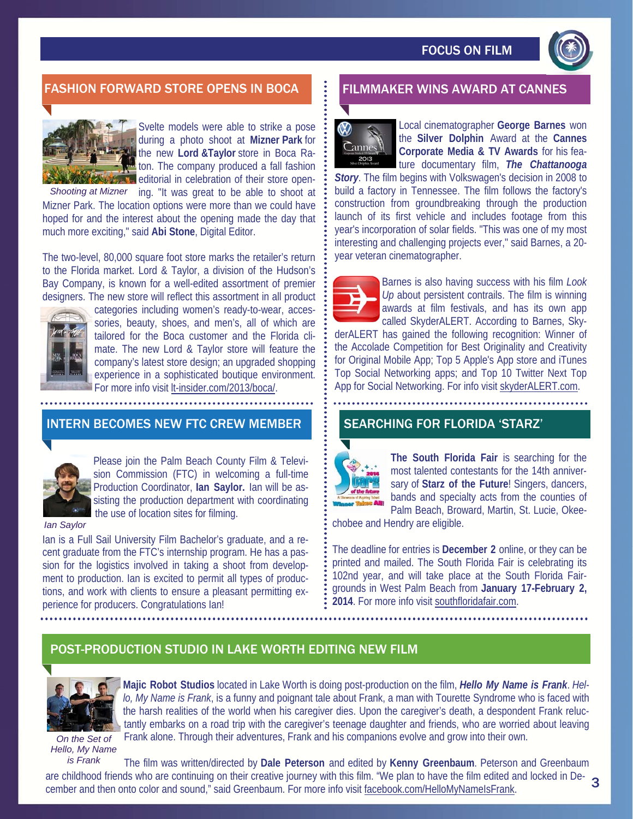

# FASHION FORWARD STORE OPENS IN BOCA FILMMAKER WINS AWARD AT CANNES



Svelte models were able to strike a pose during a photo shoot at **Mizner Park** for the new **Lord &Taylor** store in Boca Raton. The company produced a fall fashion **External in celebration of their store open-**

Shooting at Mizner ing. "It was great to be able to shoot at Mizner Park. The location options were more than we could have hoped for and the interest about the opening made the day that much more exciting," said **Abi Stone**, Digital Editor.

The two-level, 80,000 square foot store marks the retailer's return to the Florida market. Lord & Taylor, a division of the Hudson's Bay Company, is known for a well-edited assortment of premier designers. The new store will reflect this assortment in all product



categories including women's ready-to-wear, accessories, beauty, shoes, and men's, all of which are tailored for the Boca customer and the Florida climate. The new Lord & Taylor store will feature the company's latest store design; an upgraded shopping experience in a sophisticated boutique environment. For more info visit lt-insider.com/2013/boca/.

#### INTERN BECOMES NEW FTC CREW MEMBER



Please join the Palm Beach County Film & Television Commission (FTC) in welcoming a full-time Production Coordinator, **Ian Saylor.** Ian will be assisting the production department with coordinating the use of location sites for filming.

*Ian Saylor* 

Ian is a Full Sail University Film Bachelor's graduate, and a recent graduate from the FTC's internship program. He has a passion for the logistics involved in taking a shoot from development to production. Ian is excited to permit all types of productions, and work with clients to ensure a pleasant permitting experience for producers. Congratulations Ian!



Local cinematographer **George Barnes** won the **Silver Dolphin** Award at the **Cannes Corporate Media & TV Awards** for his feature documentary film, *The Chattanooga* 

*Story*. The film begins with Volkswagen's decision in 2008 to build a factory in Tennessee. The film follows the factory's construction from groundbreaking through the production launch of its first vehicle and includes footage from this year's incorporation of solar fields. "This was one of my most interesting and challenging projects ever," said Barnes, a 20 year veteran cinematographer.



Barnes is also having success with his film *Look Up* about persistent contrails. The film is winning awards at film festivals, and has its own app called SkyderALERT. According to Barnes, Sky-

derALERT has gained the following recognition: Winner of the Accolade Competition for Best Originality and Creativity for Original Mobile App; Top 5 Apple's App store and iTunes Top Social Networking apps; and Top 10 Twitter Next Top App for Social Networking. For info visit skyderALERT.com.

## SEARCHING FOR FLORIDA 'STARZ'



**Majic Robot Studios** located in Lake Worth is doing post-production on the film, *Hello My Name is Frank*. *Hello, My Name is Frank*, is a funny and poignant tale about Frank, a man with Tourette Syndrome who is faced with the harsh realities of the world when his caregiver dies. Upon the caregiver's death, a despondent Frank reluctantly embarks on a road trip with the caregiver's teenage daughter and friends, who are worried about leaving

**The South Florida Fair** is searching for the most talented contestants for the 14th anniversary of **Starz of the Future**! Singers, dancers, bands and specialty acts from the counties of Palm Beach, Broward, Martin, St. Lucie, Okee-

chobee and Hendry are eligible.

The deadline for entries is **December 2** online, or they can be printed and mailed. The South Florida Fair is celebrating its 102nd year, and will take place at the South Florida Fairgrounds in West Palm Beach from **January 17-February 2, 2014**. For more info visit southfloridafair.com.

# POST-PRODUCTION STUDIO IN LAKE WORTH EDITING NEW FILM



*On the Set of Hello, My Name* 

Frank alone. Through their adventures, Frank and his companions evolve and grow into their own.

The film was written/directed by **Dale Peterson** and edited by **Kenny Greenbaum**. Peterson and Greenbaum are childhood friends who are continuing on their creative journey with this film. "We plan to have the film edited and locked in De-<br>cember and then onto color and sound " said Greenhaum. For more info visit facebook com/ cember and then onto color and sound," said Greenbaum. For more info visit facebook.com/HelloMyNameIsFrank. *is Frank*